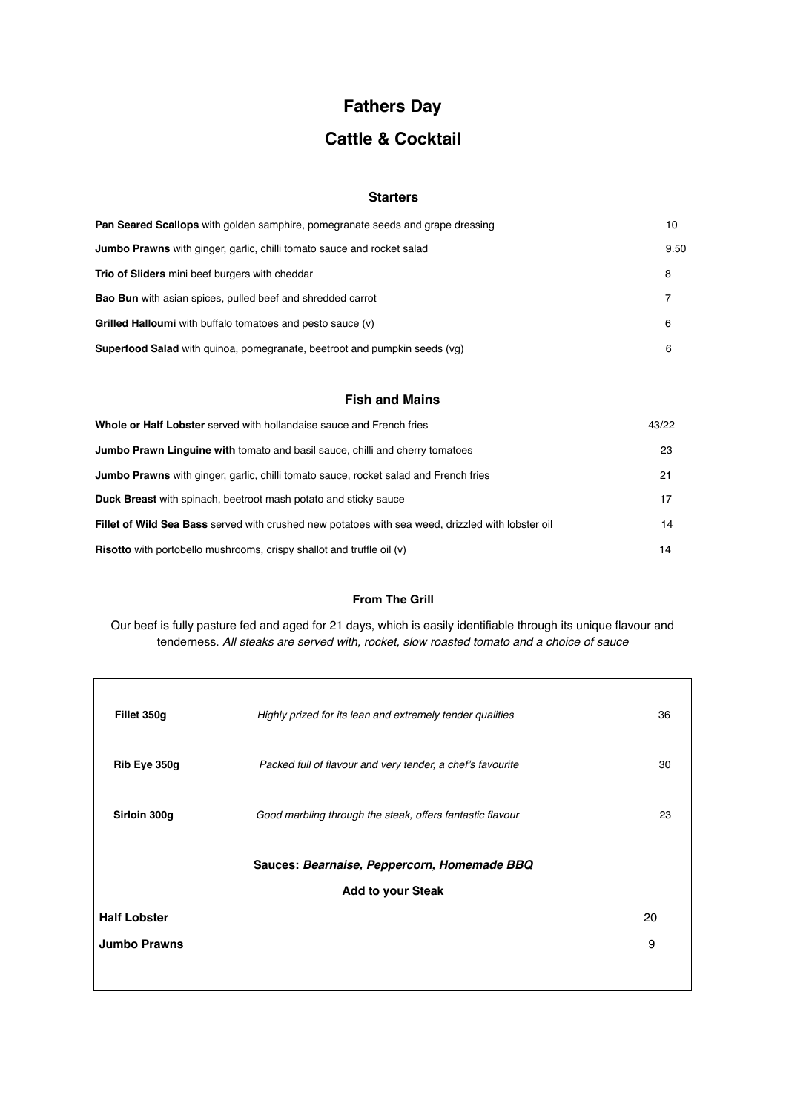# **Fathers Day**

# **Cattle & Cocktail**

## **Starters**

| <b>Pan Seared Scallops</b> with golden samphire, pomegranate seeds and grape dressing |      |
|---------------------------------------------------------------------------------------|------|
| <b>Jumbo Prawns</b> with ginger, garlic, chilli tomato sauce and rocket salad         | 9.50 |
| Trio of Sliders mini beef burgers with cheddar                                        | 8    |
| <b>Bao Bun</b> with asian spices, pulled beef and shredded carrot                     |      |
| Grilled Halloumi with buffalo tomatoes and pesto sauce (v)                            | 6    |
| <b>Superfood Salad</b> with quinoa, pomegranate, beetroot and pumpkin seeds (vg)      | 6    |

## **Fish and Mains**

| Whole or Half Lobster served with hollandaise sauce and French fries                              |    |
|---------------------------------------------------------------------------------------------------|----|
| <b>Jumbo Prawn Linguine with tomato and basil sauce, chilli and cherry tomatoes</b>               | 23 |
| <b>Jumbo Prawns</b> with ginger, garlic, chilli tomato sauce, rocket salad and French fries       | 21 |
| <b>Duck Breast</b> with spinach, beetroot mash potato and sticky sauce                            | 17 |
| Fillet of Wild Sea Bass served with crushed new potatoes with sea weed, drizzled with lobster oil | 14 |
| <b>Risotto</b> with portobello mushrooms, crispy shallot and truffle oil (v)                      | 14 |

## **From The Grill**

Our beef is fully pasture fed and aged for 21 days, which is easily identifiable through its unique flavour and tenderness. *All steaks are served with, rocket, slow roasted tomato and a choice of sauce*

| Fillet 350g              | Highly prized for its lean and extremely tender qualities  | 36 |  |  |
|--------------------------|------------------------------------------------------------|----|--|--|
| Rib Eye 350g             | Packed full of flavour and very tender, a chef's favourite | 30 |  |  |
| Sirloin 300g             | Good marbling through the steak, offers fantastic flavour  | 23 |  |  |
|                          | Sauces: Bearnaise, Peppercorn, Homemade BBQ                |    |  |  |
| <b>Add to your Steak</b> |                                                            |    |  |  |
| <b>Half Lobster</b>      |                                                            | 20 |  |  |
| <b>Jumbo Prawns</b>      |                                                            | 9  |  |  |
|                          |                                                            |    |  |  |